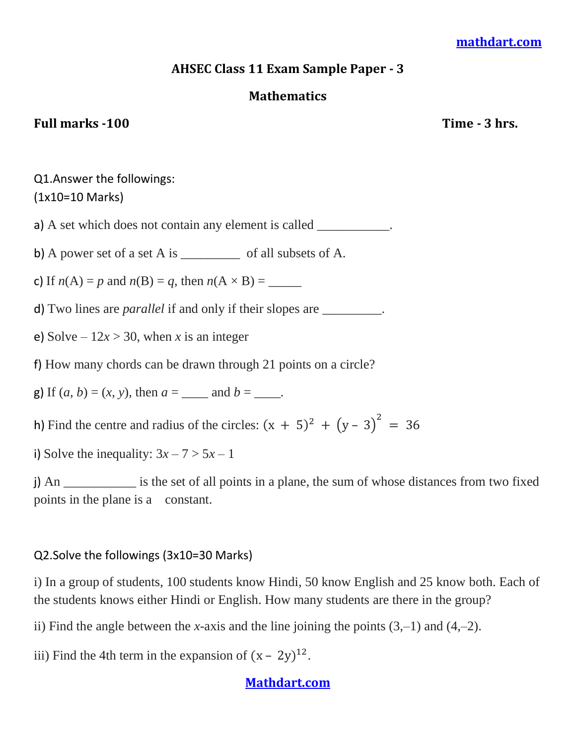## **[mathdart.com](https://mathdart.com/)**

## **AHSEC Class 11 Exam Sample Paper - 3**

## **Mathematics**

## Full marks -100 Time - 3 hrs.

Q1.Answer the followings: (1x10=10 Marks)

a) A set which does not contain any element is called \_\_\_\_\_\_\_\_\_\_\_.

b) A power set of a set A is \_\_\_\_\_\_\_\_\_\_\_\_\_ of all subsets of A.

c) If  $n(A) = p$  and  $n(B) = q$ , then  $n(A \times B) =$ 

d) Two lines are *parallel* if and only if their slopes are \_\_\_\_\_\_\_\_\_.

e) Solve  $-12x > 30$ , when *x* is an integer

f) How many chords can be drawn through 21 points on a circle?

g) If  $(a, b) = (x, y)$ , then  $a =$  and  $b =$   $\ldots$ 

h) Find the centre and radius of the circles:  $(x + 5)^2 + (y - 3)^2 =$ 

i) Solve the inequality:  $3x - 7 > 5x - 1$ 

j) An *\_\_\_\_\_\_\_\_\_\_\_* is the set of all points in a plane, the sum of whose distances from two fixed points in the plane is a constant.

## Q2.Solve the followings (3x10=30 Marks)

i) In a group of students, 100 students know Hindi, 50 know English and 25 know both. Each of the students knows either Hindi or English. How many students are there in the group?

ii) Find the angle between the *x-*axis and the line joining the points (3,*–*1) and (4,*–*2).

iii) Find the 4th term in the expansion of  $(x - 2y)^{12}$ .

## **[Mathdart.com](https://mathdart.com/)**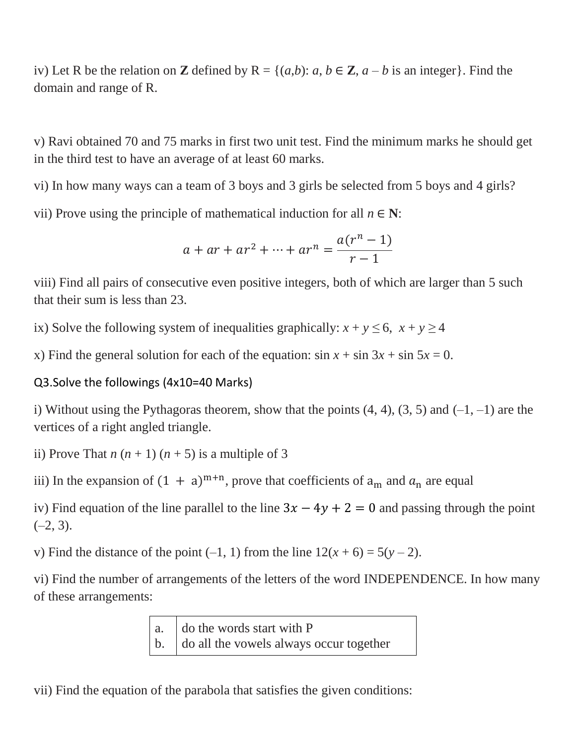iv) Let R be the relation on **Z** defined by  $R = \{(a,b): a, b \in \mathbb{Z}, a - b$  is an integer. Find the domain and range of R.

v) Ravi obtained 70 and 75 marks in first two unit test. Find the minimum marks he should get in the third test to have an average of at least 60 marks.

vi) In how many ways can a team of 3 boys and 3 girls be selected from 5 boys and 4 girls?

vii) Prove using the principle of mathematical induction for all  $n \in \mathbb{N}$ :

$$
a + ar + ar^{2} + \dots + ar^{n} = \frac{a(r^{n} - 1)}{r - 1}
$$

viii) Find all pairs of consecutive even positive integers, both of which are larger than 5 such that their sum is less than 23.

ix) Solve the following system of inequalities graphically:  $x + y \le 6$ ,  $x + y \ge 4$ 

x) Find the general solution for each of the equation:  $\sin x + \sin 3x + \sin 5x = 0$ .

# Q3.Solve the followings (4x10=40 Marks)

i) Without using the Pythagoras theorem, show that the points (4, 4), (3, 5) and (*–*1, *–*1) are the vertices of a right angled triangle.

ii) Prove That  $n(n+1)(n+5)$  is a multiple of 3

iii) In the expansion of  $(1 + a)^{m+n}$ , prove that coefficients of  $a_m$  and  $a_n$  are equal

iv) Find equation of the line parallel to the line  $3x - 4y + 2 = 0$  and passing through the point  $(-2, 3)$ .

v) Find the distance of the point  $(-1, 1)$  from the line  $12(x + 6) = 5(y - 2)$ .

vi) Find the number of arrangements of the letters of the word INDEPENDENCE. In how many of these arrangements:

> a. b. do the words start with P do all the vowels always occur together

vii) Find the equation of the parabola that satisfies the given conditions: